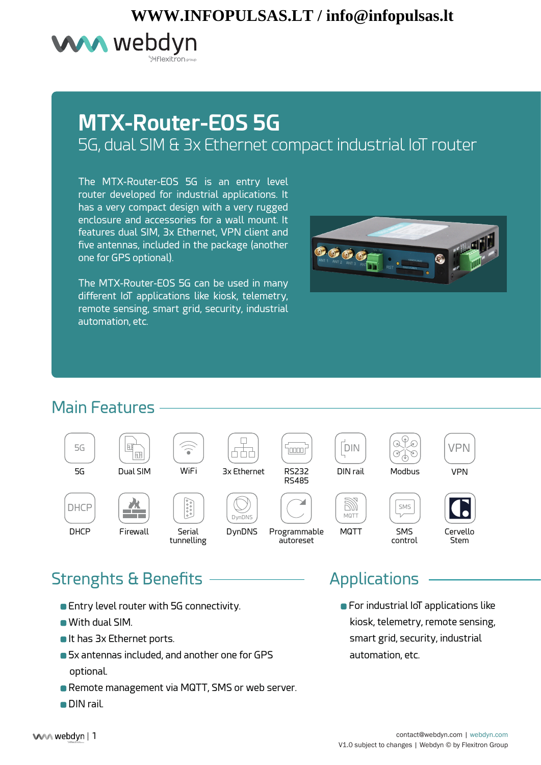# **WWW.INFOPULSAS.LT / info@infopulsas.lt**



# **MTX-Router-EOS 5G** 5G, dual SIM & 3x Ethernet compact industrial IoT router

The MTX-Router-EOS 5G is an entry level router developed for industrial applications. It has a very compact design with a very rugged enclosure and accessories for a wall mount. It features dual SIM, 3x Ethernet, VPN client and five antennas, included in the package (another one for GPS optional).

The MTX-Router-EOS 5G can be used in many different IoT applications like kiosk, telemetry, remote sensing, smart grid, security, industrial automation, etc.



### Main Features



## Strenghts & Benefits Applications

- **Entry level router with 5G connectivity.**
- With dual SIM.
- It has 3x Ethernet ports.
- 5x antennas included, and another one for GPS optional.
- **Remote management via MQTT, SMS or web server.**
- DIN rail.

**•** For industrial IoT applications like kiosk, telemetry, remote sensing, smart grid, security, industrial automation, etc.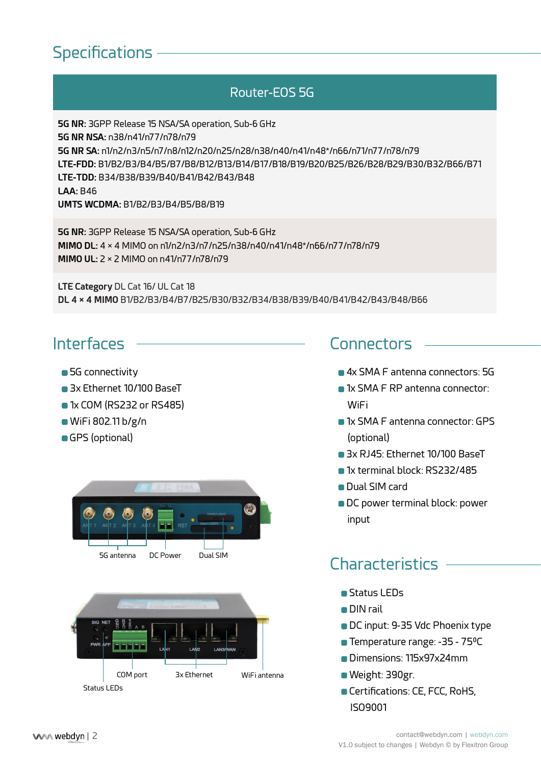## **Specifications**

### Router-EOS 5G

**5G NR:** 3GPP Release 15 NSA/SA operation, Sub-6 GHz **5G NR NSA:** n38/n41/n77/n78/n79 **5G NR SA:** n1/n2/n3/n5/n7/n8/n12/n20/n25/n28/n38/n40/n41/n48\*/n66/n71/n77/n78/n79 **LTE-FDD:** B1/B2/B3/B4/B5/B7/B8/B12/B13/B14/B17/B18/B19/B20/B25/B26/B28/B29/B30/B32/B66/B71 **LTE-TDD:** B34/B38/B39/B40/B41/B42/B43/B48 **LAA:** B46 **UMTS WCDMA:** B1/B2/B3/B4/B5/B8/B19

**5G NR:** 3GPP Release 15 NSA/SA operation, Sub-6 GHz **MIMO DL:** 4 × 4 MIMO on n1/n2/n3/n7/n25/n38/n40/n41/n48\*/n66/n77/n78/n79 **MIMO UL:** 2 × 2 MIMO on n41/n77/n78/n79

**LTE Category** DL Cat 16/ UL Cat 18 **DL 4 × 4 MIMO** B1/B2/B3/B4/B7/B25/B30/B32/B34/B38/B39/B40/B41/B42/B43/B48/B66

### **Interfaces**

- **5G** connectivity
- **3x Ethernet 10/100 BaseT**
- **1x COM (RS232 or RS485)**
- WiFi 802.11 b/g/n
- GPS (optional)





### **Connectors**

- **4x SMA F antenna connectors: 5G**
- **1x SMA F RP antenna connector: WiFi**
- **1x SMA F antenna connector: GPS** (optional)
- **3x RJ45: Ethernet 10/100 BaseT**
- **1x terminal block: RS232/485**
- **Dual SIM card**
- **DC** power terminal block: power input

### **Characteristics**

- **Status LEDs**
- **DIN** rail
- DC input: 9-35 Vdc Phoenix type
- **Temperature range: -35 75°C**
- Dimensions: 115x97x24mm
- Weight: 390gr.
- Certifications: CE, FCC, RoHS, ISO9001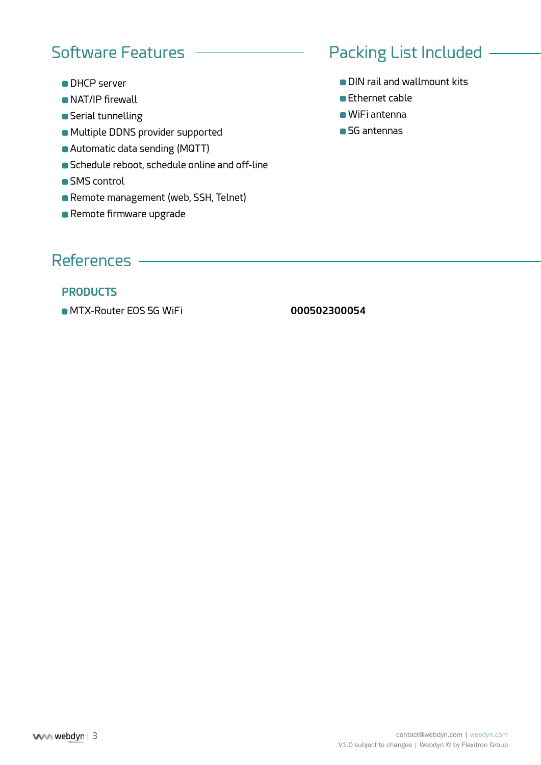### Software Features

- **DHCP** server
- **NAT/IP** firewall
- **Serial tunnelling**
- Multiple DDNS provider supported
- Automatic data sending (MQTT)
- Schedule reboot, schedule online and off-line
- **SMS** control
- Remote management (web, SSH, Telnet)
- **Remote firmware upgrade**

# Packing List Included

- **DIN rail and wallmount kits**
- **Ethernet cable**
- WiFi antenna
- **6** 5G antennas

### References

#### **PRODUCTS**

MTX-Router EOS 5G WiFi **000502300054**